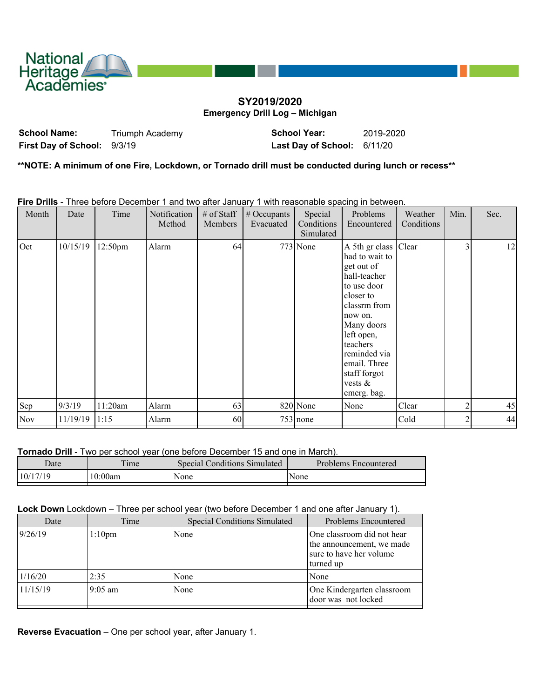

## **SY2019/2020 Emergency Drill Log – Michigan**

**School Name:** Triumph Academy **School Year:** 2019-2020 **First Day of School:** 9/3/19 **Last Day of School:** 6/11/20

**\*\*NOTE: A minimum of one Fire, Lockdown, or Tornado drill must be conducted during lunch or recess\*\***

**Fire Drills** - Three before December 1 and two after January 1 with reasonable spacing in between.

| Month      | Date     | Time    | Notification<br>Method | # of Staff<br><b>Members</b> | $#$ Occupants<br>Evacuated | Special<br>Conditions<br>Simulated | Problems<br>Encountered                                                                                                                                                                                                                          | Weather<br>Conditions | Min. | Sec. |
|------------|----------|---------|------------------------|------------------------------|----------------------------|------------------------------------|--------------------------------------------------------------------------------------------------------------------------------------------------------------------------------------------------------------------------------------------------|-----------------------|------|------|
| Oct        | 10/15/19 | 12:50pm | Alarm                  | 64                           |                            | $773$ None                         | A 5th gr class Clear<br>had to wait to<br>get out of<br>hall-teacher<br>to use door<br>closer to<br>classrm from<br>now on.<br>Many doors<br>left open,<br>teachers<br>reminded via<br>email. Three<br>staff forgot<br>vests $\&$<br>emerg. bag. |                       | 3    | 12   |
| Sep        | 9/3/19   | 11:20am | Alarm                  | 63                           |                            | 820 None                           | None                                                                                                                                                                                                                                             | Clear                 |      | 45   |
| <b>Nov</b> | 11/19/19 | 1:15    | Alarm                  | 60                           |                            | $753$ none                         |                                                                                                                                                                                                                                                  | Cold                  |      | 44   |
|            |          |         |                        |                              |                            |                                    |                                                                                                                                                                                                                                                  |                       |      |      |

**Tornado Drill** - Two per school year (one before December 15 and one in March).

| Date     | $\mathbf{r}$<br>ime | <b>Special Conditions Simulated</b> | Problems Encountered |
|----------|---------------------|-------------------------------------|----------------------|
| 10/17/19 | 10:00am             | None                                | <i>None</i>          |

## **Lock Down** Lockdown – Three per school year (two before December 1 and one after January 1).

| Date     | Time      | <b>Special Conditions Simulated</b> | <b>Problems Encountered</b>                                                                     |
|----------|-----------|-------------------------------------|-------------------------------------------------------------------------------------------------|
| 9/26/19  | $1:10$ pm | None                                | One classroom did not hear<br>the announcement, we made<br>sure to have her volume<br>turned up |
| 1/16/20  | 2:35      | None                                | None                                                                                            |
| 11/15/19 | 19:05 am  | None                                | One Kindergarten classroom<br>door was not locked                                               |

**Reverse Evacuation** – One per school year, after January 1.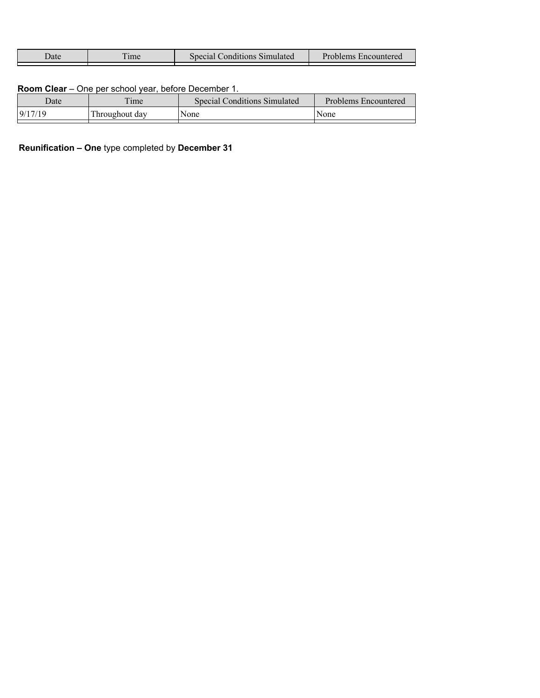| Jate | ime | Special Conditions Simulated | Problems Encountered |
|------|-----|------------------------------|----------------------|
|      |     |                              |                      |

## **Room Clear** – One per school year, before December 1.

|                                   | <b>Special Conditions Simulated</b><br>Problems Encountered |
|-----------------------------------|-------------------------------------------------------------|
| 9/17/19<br>Throughout day<br>None | None                                                        |

**Reunification – One** type completed by **December 31**